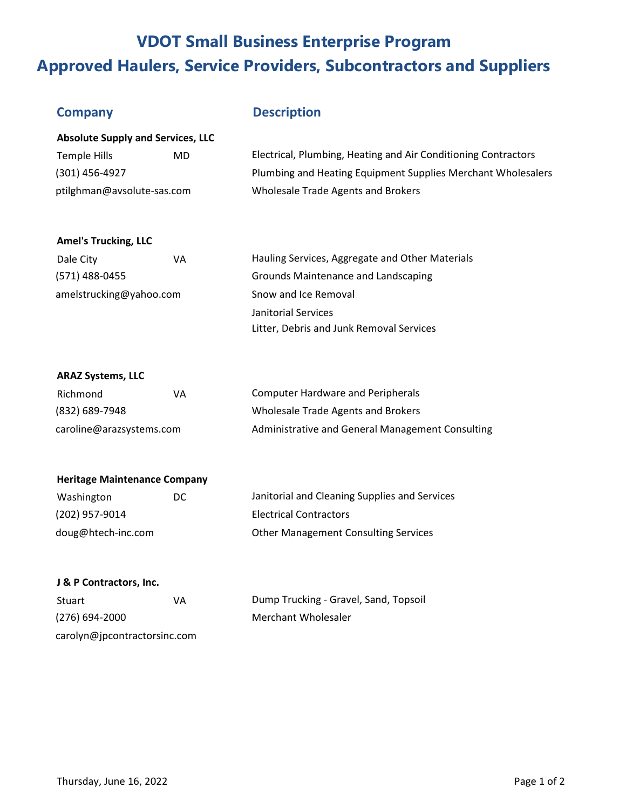## **VDOT Small Business Enterprise Program Approved Haulers, Service Providers, Subcontractors and Suppliers**

### **Company Description**

| <b>Absolute Supply and Services, LLC</b> |     |                                                                |  |
|------------------------------------------|-----|----------------------------------------------------------------|--|
| Temple Hills                             | MD. | Electrical, Plumbing, Heating and Air Conditioning Contractors |  |
| (301) 456-4927                           |     | Plumbing and Heating Equipment Supplies Merchant Wholesalers   |  |
| ptilghman@avsolute-sas.com               |     | Wholesale Trade Agents and Brokers                             |  |

#### **Amel's Trucking, LLC**

| Dale City               | VA | Hauling Services, Aggregate and Other Materials |
|-------------------------|----|-------------------------------------------------|
| (571) 488-0455          |    | Grounds Maintenance and Landscaping             |
| amelstrucking@yahoo.com |    | Snow and Ice Removal                            |
|                         |    | Janitorial Services                             |
|                         |    | Litter, Debris and Junk Removal Services        |

#### **ARAZ Systems, LLC**

| Richmond                 | VА | Computer Hardware and Peripherals                |
|--------------------------|----|--------------------------------------------------|
| (832) 689-7948           |    | Wholesale Trade Agents and Brokers               |
| caroline@arazsystems.com |    | Administrative and General Management Consulting |

## **Heritage Maintenance Company**

| Washington         | DC. | Janitorial and Cleaning Supplies and Services |
|--------------------|-----|-----------------------------------------------|
| (202) 957-9014     |     | <b>Electrical Contractors</b>                 |
| doug@htech-inc.com |     | <b>Other Management Consulting Services</b>   |

#### **J & P Contractors, Inc.**

| Stuart                       | VA | Dump Trucking - Gravel, Sand, Topsoil |
|------------------------------|----|---------------------------------------|
| $(276)$ 694-2000             |    | Merchant Wholesaler                   |
| carolyn@jpcontractorsinc.com |    |                                       |